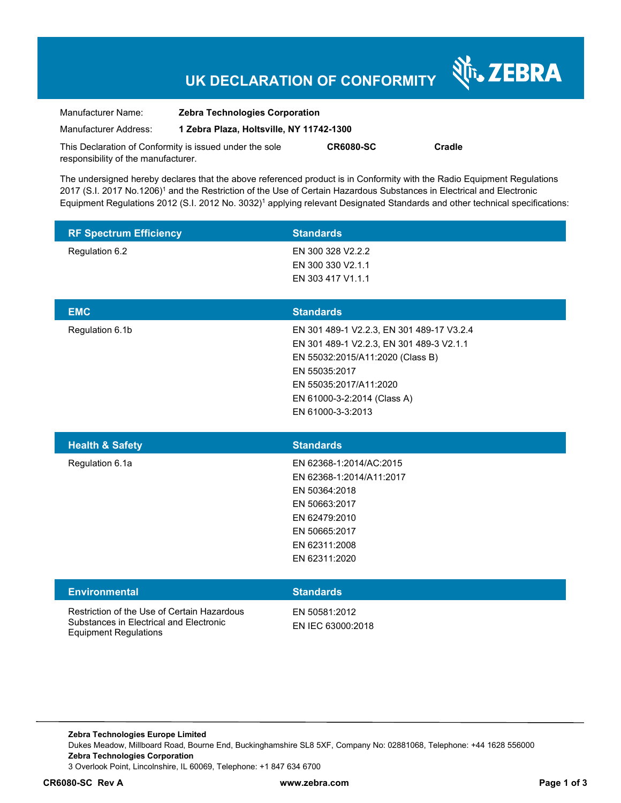# **UK DECLARATION OF CONFORMITY**

Nr. ZEBRA

| Manufacturer Name:                                      | <b>Zebra Technologies Corporation</b>    |                  |        |
|---------------------------------------------------------|------------------------------------------|------------------|--------|
| Manufacturer Address:                                   | 1 Zebra Plaza, Holtsville, NY 11742-1300 |                  |        |
| This Declaration of Conformity is issued under the sole |                                          | <b>CR6080-SC</b> | Cradle |
| responsibility of the manufacturer.                     |                                          |                  |        |

The undersigned hereby declares that the above referenced product is in Conformity with the Radio Equipment Regulations 2017 (S.I. 2017 No.1206)<sup>1</sup> and the Restriction of the Use of Certain Hazardous Substances in Electrical and Electronic Equipment Regulations 2012 (S.I. 2012 No. 3032)<sup>1</sup> applying relevant Designated Standards and other technical specifications:

| <b>Standards</b>                          |
|-------------------------------------------|
| EN 300 328 V2.2.2                         |
| EN 300 330 V2.1.1                         |
| EN 303 417 V1.1.1                         |
|                                           |
| <b>Standards</b>                          |
| EN 301 489-1 V2.2.3, EN 301 489-17 V3.2.4 |
| EN 301 489-1 V2.2.3, EN 301 489-3 V2.1.1  |
| EN 55032:2015/A11:2020 (Class B)          |
| EN 55035:2017                             |
| EN 55035:2017/A11:2020                    |
| EN 61000-3-2:2014 (Class A)               |
| EN 61000-3-3:2013                         |
|                                           |

| <b>Health &amp; Safety</b> | <b>Standards</b>         |  |
|----------------------------|--------------------------|--|
| Regulation 6.1a            | EN 62368-1:2014/AC:2015  |  |
|                            | EN 62368-1:2014/A11:2017 |  |
|                            | EN 50364:2018            |  |
|                            | EN 50663:2017            |  |
|                            | EN 62479:2010            |  |
|                            | EN 50665:2017            |  |
|                            | EN 62311:2008            |  |
|                            | EN 62311:2020            |  |
|                            |                          |  |

| Restriction of the Use of Certain Hazardous |
|---------------------------------------------|
| Substances in Electrical and Electronic     |
| <b>Equipment Regulations</b>                |

**Environmental Standards** 

EN 50581:2012 EN IEC 63000:2018

**Zebra Technologies Europe Limited**  Dukes Meadow, Millboard Road, Bourne End, Buckinghamshire SL8 5XF, Company No: 02881068, Telephone: +44 1628 556000 **Zebra Technologies Corporation**  3 Overlook Point, Lincolnshire, IL 60069, Telephone: +1 847 634 6700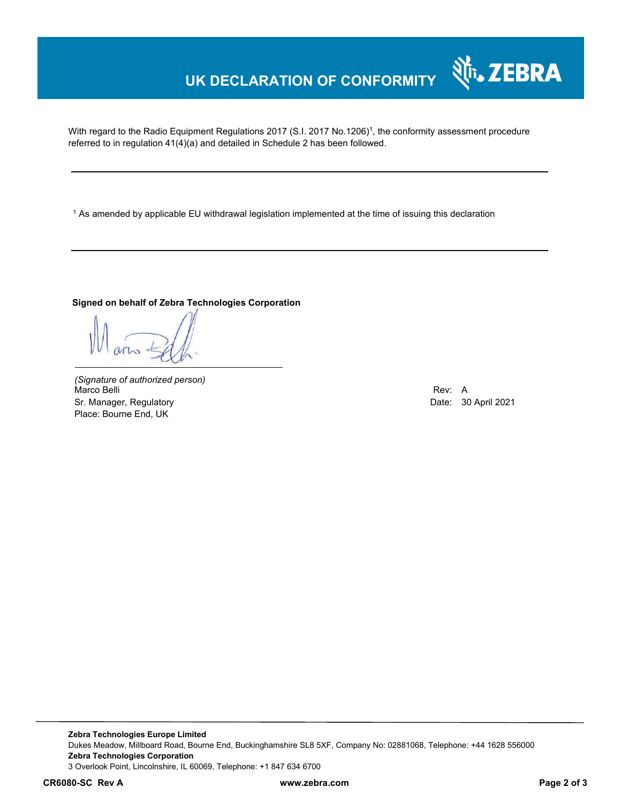## **UK DECLARATION OF CONFORMITY**

With regard to the Radio Equipment Regulations 2017 (S.I. 2017 No.1206)<sup>1</sup>, the conformity assessment procedure referred to in regulation 41(4)(a) and detailed in Schedule 2 has been followed.

1 As amended by applicable EU withdrawal legislation implemented at the time of issuing this declaration

#### **Signed on behalf of Zebra Technologies Corporation**

*(Signature of authorized person)* Marco Belli Rev: A Sr. Manager, Regulatory **Date: 30 April 2021** Place: Bourne End, UK

र्शे<sub>ि</sub>, ZEBRA